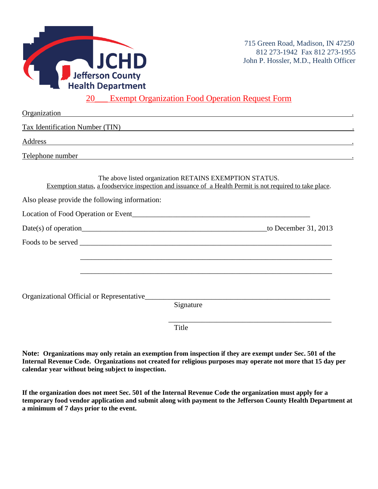

### 20<sup>1</sup> Exempt Organization Food Operation Request Form

| Organization                                                                                                                                                                                                                   |
|--------------------------------------------------------------------------------------------------------------------------------------------------------------------------------------------------------------------------------|
| Tax Identification Number (TIN)                                                                                                                                                                                                |
| <u> 1989 - Johann Stoff, amerikansk politiker (d. 1989)</u>                                                                                                                                                                    |
| Telephone number and the state of the state of the state of the state of the state of the state of the state of the state of the state of the state of the state of the state of the state of the state of the state of the st |
| The above listed organization RETAINS EXEMPTION STATUS.<br>Exemption status, a foodservice inspection and issuance of a Health Permit is not required to take place.                                                           |
|                                                                                                                                                                                                                                |
|                                                                                                                                                                                                                                |
|                                                                                                                                                                                                                                |
|                                                                                                                                                                                                                                |
| ,我们也不能在这里的人,我们也不能在这里的人,我们也不能在这里的人,我们也不能在这里的人,我们也不能在这里的人,我们也不能在这里的人,我们也不能在这里的人,我们也                                                                                                                                              |
|                                                                                                                                                                                                                                |
|                                                                                                                                                                                                                                |
| Organizational Official or Representative                                                                                                                                                                                      |
| Signature                                                                                                                                                                                                                      |
| Title                                                                                                                                                                                                                          |
|                                                                                                                                                                                                                                |

**Note: Organizations may only retain an exemption from inspection if they are exempt under Sec. 501 of the Internal Revenue Code. Organizations not created for religious purposes may operate not more that 15 day per calendar year without being subject to inspection.**

**If the organization does not meet Sec. 501 of the Internal Revenue Code the organization must apply for a temporary food vendor application and submit along with payment to the Jefferson County Health Department at a minimum of 7 days prior to the event.**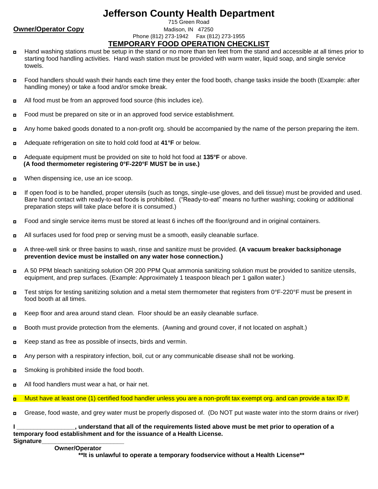## **Jefferson County Health Department**

### 715 Green Road **Owner/Operator Copy** Madison, IN 47250 Phone (812) 273-1942 Fax (812) 273-1955 **TEMPORARY FOOD OPERATION CHECKLIST**

- Hand washing stations must be setup in the stand or no more than ten feet from the stand and accessible at all times prior to  $\blacksquare$ starting food handling activities. Hand wash station must be provided with warm water, liquid soap, and single service towels.
- Food handlers should wash their hands each time they enter the food booth, change tasks inside the booth (Example: after  $\blacksquare$ handling money) or take a food and/or smoke break.
- All food must be from an approved food source (this includes ice).  $\blacksquare$
- Food must be prepared on site or in an approved food service establishment.  $\blacksquare$
- Any home baked goods donated to a non-profit org. should be accompanied by the name of the person preparing the item. п
- Adequate refrigeration on site to hold cold food at **41°F** or below. o
- Adequate equipment must be provided on site to hold hot food at **135°F** or above. O  **(A food thermometer registering 0°F-220°F MUST be in use.)**
- When dispensing ice, use an ice scoop.  $\blacksquare$
- If open food is to be handled, proper utensils (such as tongs, single-use gloves, and deli tissue) must be provided and used.  $\blacksquare$ Bare hand contact with ready-to-eat foods is prohibited. ("Ready-to-eat" means no further washing; cooking or additional preparation steps will take place before it is consumed.)
- Food and single service items must be stored at least 6 inches off the floor/ground and in original containers.  $\blacksquare$
- All surfaces used for food prep or serving must be a smooth, easily cleanable surface.  $\blacksquare$
- A three-well sink or three basins to wash, rinse and sanitize must be provided. **(A vacuum breaker backsiphonage**   $\blacksquare$ **prevention device must be installed on any water hose connection.)**
- A 50 PPM bleach sanitizing solution OR 200 PPM Quat ammonia sanitizing solution must be provided to sanitize utensils,  $\blacksquare$ equipment, and prep surfaces. (Example: Approximately 1 teaspoon bleach per 1 gallon water.)
- Test strips for testing sanitizing solution and a metal stem thermometer that registers from 0°F-220°F must be present in  $\blacksquare$ food booth at all times.
- Keep floor and area around stand clean. Floor should be an easily cleanable surface.  $\blacksquare$
- Booth must provide protection from the elements. (Awning and ground cover, if not located on asphalt.)  $\blacksquare$
- Keep stand as free as possible of insects, birds and vermin. o
- Any person with a respiratory infection, boil, cut or any communicable disease shall not be working.  $\blacksquare$
- Smoking is prohibited inside the food booth. о
- All food handlers must wear a hat, or hair net.  $\blacksquare$

Must have at least one (1) certified food handler unless you are a non-profit tax exempt org. and can provide a tax ID #. о

Grease, food waste, and grey water must be properly disposed of. (Do NOT put waste water into the storm drains or river)  $\blacksquare$ 

, understand that all of the requirements listed above must be met prior to operation of a **temporary food establishment and for the issuance of a Health License. Signature\_\_\_\_\_\_\_\_\_\_\_\_\_\_\_\_\_\_\_\_\_\_\_\_**

#### **Owner/Operator**

 **\*\*It is unlawful to operate a temporary foodservice without a Health License\*\***